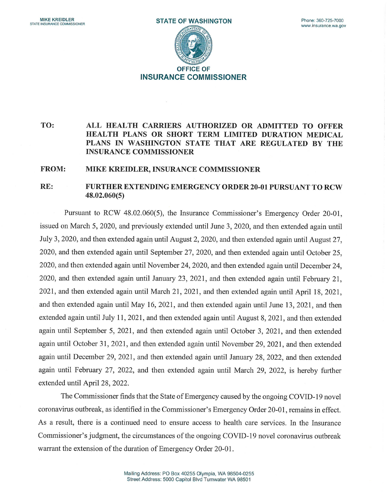

## TO: ALL HEALTH CARRIERS AUTHORIZED OR ADMITTED TO OFFER HEALTH PLANS OR SHORT TERM LIMITED DURATION MEDICAL PLANS IN WASHINGTON STATE THAT ARE REGULATED BY THE INSURANCE COMMISSIONER

## FROM: MIKE KREIDLER, INSURANCE COMMISSIONER

## RE: FURTHER EXTENDING EMERGENCY ORDER 20-01 PURSUANT TO RCW 48.02.060(5)

Pursuant to RCW 48.02.060(5), the Insurance Commissioner's Emergency Order 20-01, issued on March 5, 2020, and previously extended until June 3, 2020, and then extended again until July 3, 2020, and then extended again until August 2, 2020, and then extended again until August 27, 2020, and then extended again until September 27, 2020, and then extended again until October 25, 2020, and then extended againuntil November 24, 2020, and then extended again until December 24, 2020, and then extended again until January 23, 2021, and then extended again until February 21, 2021, and then extended again until March 21, 2021, and then extended again until April 18, 2021, and then extended again until May 16, 2021, and then extended again until June 13, 2021, and then extended again until July 11, 2021, and then extended again until August 8, 2021, and then extended again until September 5, 2021, and then extended again until October 3, 2021, and then extended again until October 31, 2021, and then extended again until November 29, 2021, and then extended again until December 29, 2021, and then extended again until January 28, 2022, and then extended again until February 27, 2022, and then extended again until March 29, 2022, is hereby further extended until April 28, 2022.

The Commissioner finds that the State of Emergency caused by the ongoing COVID-19 novel coronavirus outbreak, as identified in the Commissioner's Emergency Order 20-01, remains in effect. As a result, there is a continued need to ensure access to health care services. In the Insurance Commissioner's judgment, the circumstances of the ongoing COVID-19 novel coronavirus outbreak warrant the extension of the duration of Emergency Order 20-01.